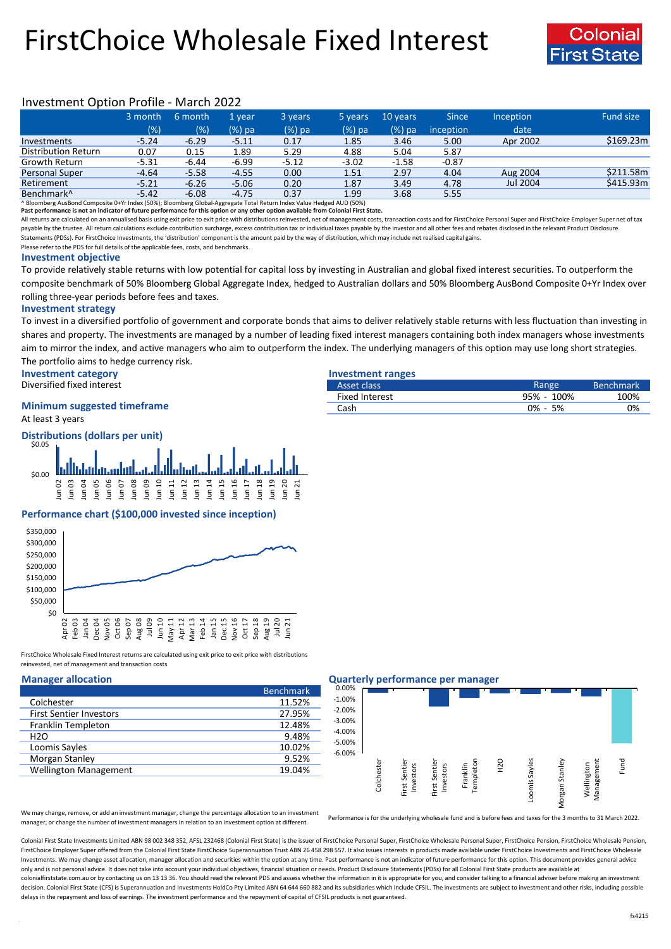# FirstChoice Wholesale Fixed Interest



## Investment Option Profile - March 2022

|                                                                                                                      | 3 month | 6 month | 1 vear  | 3 years  | 5 years | 10 years | <b>Since</b> | <b>Inception</b> | Fund size |
|----------------------------------------------------------------------------------------------------------------------|---------|---------|---------|----------|---------|----------|--------------|------------------|-----------|
|                                                                                                                      | (% )    | (% )    | (%) pa  | $(%)$ pa | (%) pa  | $(%)$ pa | inception    | date             |           |
| Investments                                                                                                          | $-5.24$ | $-6.29$ | $-5.11$ | 0.17     | 1.85    | 3.46     | 5.00         | Apr 2002         | \$169.23m |
| Distribution Return                                                                                                  | 0.07    | 0.15    | 1.89    | 5.29     | 4.88    | 5.04     | 5.87         |                  |           |
| Growth Return                                                                                                        | $-5.31$ | $-6.44$ | $-6.99$ | $-5.12$  | $-3.02$ | $-1.58$  | $-0.87$      |                  |           |
| <b>Personal Super</b>                                                                                                | $-4.64$ | $-5.58$ | $-4.55$ | 0.00     | 1.51    | 2.97     | 4.04         | Aug 2004         | \$211.58m |
| Retirement                                                                                                           | $-5.21$ | $-6.26$ | $-5.06$ | 0.20     | 1.87    | 3.49     | 4.78         | Jul 2004         | \$415.93m |
| Benchmark <sup>^</sup>                                                                                               | $-5.42$ | $-6.08$ | $-4.75$ | 0.37     | 1.99    | 3.68     | 5.55         |                  |           |
| ^ Bloomberg AusBond Composite 0+Yr Index (50%); Bloomberg Global-Aggregate Total Return Index Value Hedged AUD (50%) |         |         |         |          |         |          |              |                  |           |

**Past performance is not an indicator of future performance for this option or any other option available from Colonial First State.**

All returns are calculated on an annualised basis using exit price to exit price with distributions reinvested, net of management costs, transaction costs and for FirstChoice Personal Super and FirstChoice Employer Super n payable by the trustee. All return calculations exclude contribution surcharge, excess contribution tax or individual taxes payable by the investor and all other fees and rebates disclosed in the relevant Product Disclosur Statements (PDSs). For FirstChoice Investments, the 'distribution' component is the amount paid by the way of distribution, which may include net realised capital gains.

Please refer to the PDS for full details of the applicable fees, costs, and benchmarks.

#### **Investment objective**

To provide relatively stable returns with low potential for capital loss by investing in Australian and global fixed interest securities. To outperform the composite benchmark of 50% Bloomberg Global Aggregate Index, hedged to Australian dollars and 50% Bloomberg AusBond Composite 0+Yr Index over rolling three-year periods before fees and taxes.

#### **Investment strategy**

To invest in a diversified portfolio of government and corporate bonds that aims to deliver relatively stable returns with less fluctuation than investing in shares and property. The investments are managed by a number of leading fixed interest managers containing both index managers whose investments aim to mirror the index, and active managers who aim to outperform the index. The underlying managers of this option may use long short strategies. The portfolio aims to hedge currency risk.

**Investment category Investment ranges**

Diversified fixed interest

## **Minimum suggested timeframe**

At least 3 years

**Distributions (dollars per unit)**



### **Performance chart (\$100,000 invested since inception)**



FirstChoice Wholesale Fixed Interest returns are calculated using exit price to exit price with distributions reinvested, net of management and transaction costs

|                                | <b>Benchmark</b> |
|--------------------------------|------------------|
| Colchester                     | 11.52%           |
| <b>First Sentier Investors</b> | 27.95%           |
| Franklin Templeton             | 12.48%           |
| H2O                            | 9.48%            |
| Loomis Sayles                  | 10.02%           |
| Morgan Stanley                 | 9.52%            |
| <b>Wellington Management</b>   | 19.04%           |

### **Manager allocation Quarterly performance per manager**



We may change, remove, or add an investment manager, change the percentage allocation to an investment manager, or change the number of investment managers in relation to an investment option at different

Performance is for the underlying wholesale fund and is before fees and taxes for the 3 months to 31 March 2022.

Colonial First State Investments Limited ABN 98 002 348 352, AFSL 232468 (Colonial First State) is the issuer of FirstChoice Personal Super, FirstChoice Wholesale Personal Super, FirstChoice Personal Super, FirstChoice Who FirstChoice Employer Super offered from the Colonial First State FirstChoice Superannuation Trust ABN 26458 298 557. It also issues interests in products made available under FirstChoice Investments and FirstChoice Wholesa Investments. We may change asset allocation, manager allocation and securities within the option at any time. Past performance is not an indicator of future performance for this option. This document provides general advic only and is not personal advice. It does not take into account your individual objectives, financial situation or needs. Product Disclosure Statements (PDSs) for all Colonial First State products are available at colonialfirststate.com.au or by contacting us on 13 13 36. You should read the relevant PDS and assess whether the information in it is appropriate for you, and consider talking to a financial adviser before making an inve decision. Colonial First State (CFS) is Superannuation and Investments HoldCo Pty Limited ABN 64 644 660 882 and its subsidiaries which include CFSIL. The investments are subject to investment and other risks, including po delays in the repayment and loss of earnings. The investment performance and the repayment of capital of CFSIL products is not guaranteed.

| ---- <del>----------------</del> |             |                  |
|----------------------------------|-------------|------------------|
| Asset class                      | Range       | <b>Benchmark</b> |
| Fixed Interest                   | 95% - 100%  | 100%             |
| Cash                             | $0\% - 5\%$ | 0%               |